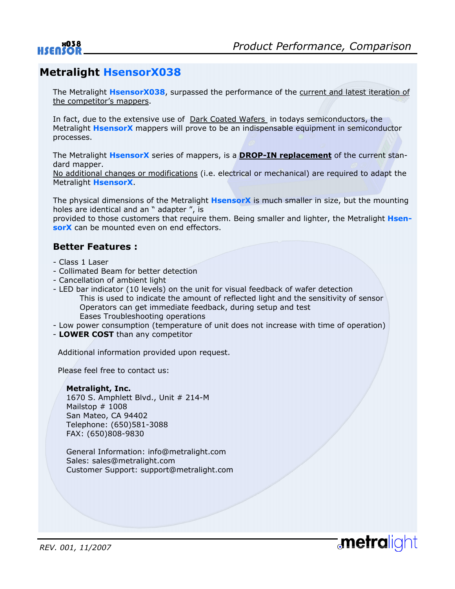

## **Metralight HsensorX038**

The Metralight **HsensorX038**, surpassed the performance of the current and latest iteration of the competitor's mappers.

In fact, due to the extensive use of Dark Coated Wafers in todays semiconductors, the Metralight **HsensorX** mappers will prove to be an indispensable equipment in semiconductor processes.

The Metralight **HsensorX** series of mappers, is a **DROP-IN replacement** of the current standard mapper.

No additional changes or modifications (i.e. electrical or mechanical) are required to adapt the Metralight **HsensorX**.

The physical dimensions of the Metralight **HsensorX** is much smaller in size, but the mounting holes are identical and an " adapter ", is

provided to those customers that require them. Being smaller and lighter, the Metralight **HsensorX** can be mounted even on end effectors.

### **Better Features :**

- Class 1 Laser
- Collimated Beam for better detection
- Cancellation of ambient light
- LED bar indicator (10 levels) on the unit for visual feedback of wafer detection This is used to indicate the amount of reflected light and the sensitivity of sensor Operators can get immediate feedback, during setup and test Eases Troubleshooting operations
- Low power consumption (temperature of unit does not increase with time of operation)
- **LOWER COST** than any competitor

Additional information provided upon request.

Please feel free to contact us:

#### **Metralight, Inc.**

 1670 S. Amphlett Blvd., Unit # 214-M Mailstop # 1008 San Mateo, CA 94402 Telephone: (650)581-3088 FAX: (650)808-9830

 General Information: info@metralight.com Sales: sales@metralight.com Customer Support: support@metralight.com

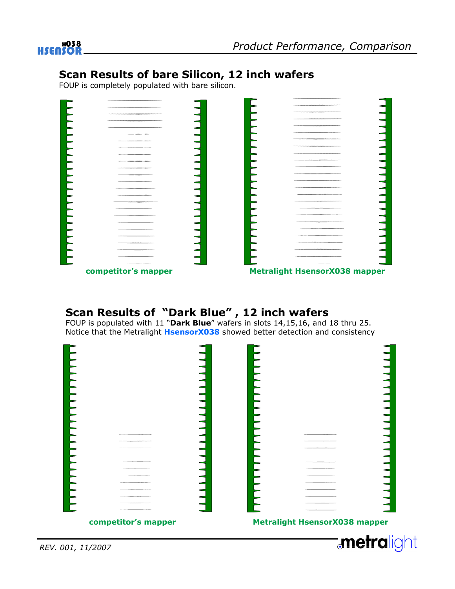

## **Scan Results of bare Silicon, 12 inch wafers**

FOUP is completely populated with bare silicon.

| competitor's mapper | <b>Metralight HsensorX038 mapper</b> |
|---------------------|--------------------------------------|

# **Scan Results of "Dark Blue" , 12 inch wafers**

FOUP is populated with 11 "**Dark Blue**" wafers in slots 14,15,16, and 18 thru 25. Notice that the Metralight **HsensorX038** showed better detection and consistency